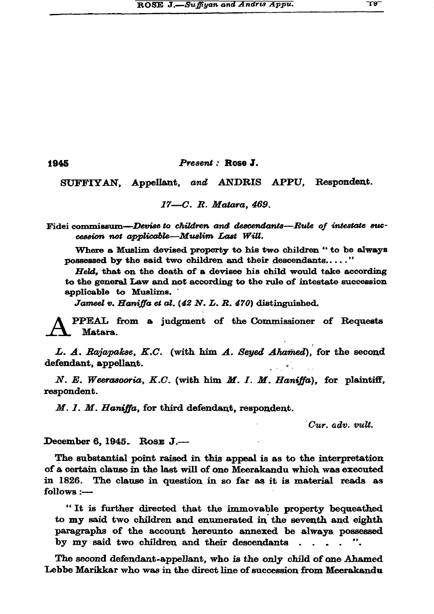1945

Present : Rose J.

SUFFIYAN, Appellant, and ANDRIS APPU, Respondent.

17-C. R. Matara, 469.

Fidei commissum—Devise to children and descendants—Rule of intestate succession not applicable-Muslim Last Will.

Where a Muslim devised property to his two children " to be always possessed by the said two children and their descendants....."

Held, that on the death of a devisee his child would take according to the general Law and not according to the rule of intestate succession applicable to Muslims.

Jameel v. Haniffa et al. (42 N. L. R. 470) distinguished.

PPEAL from a judgment of the Commissioner of Requests Matara.

L. A. Rajapakse, K.C. (with him A. Seyed Ahamed), for the second defendant, appellant.

N. E. Weerasooria, K.C. (with him M. I. M. Haniffa), for plaintiff, respondent.

M. I. M. Haniffa, for third defendant, respondent.

Cur. adv. vult.

December 6, 1945. Rose J.-

The substantial point raised in this appeal is as to the interpretation of a certain clause in the last will of one Meerakandu which was executed in 1826. The clause in question in so far as it is material reads as follows :-

"It is further directed that the immovable property bequeathed to my said two children and enumerated in the seventh and eighth paragraphs of the account hereunto annexed be always possessed by my said two children and their descendants . . . . ".

The second defendant-appellant, who is the only child of one Ahamed Lebbe Marikkar who was in the direct line of succession from Meerakandu